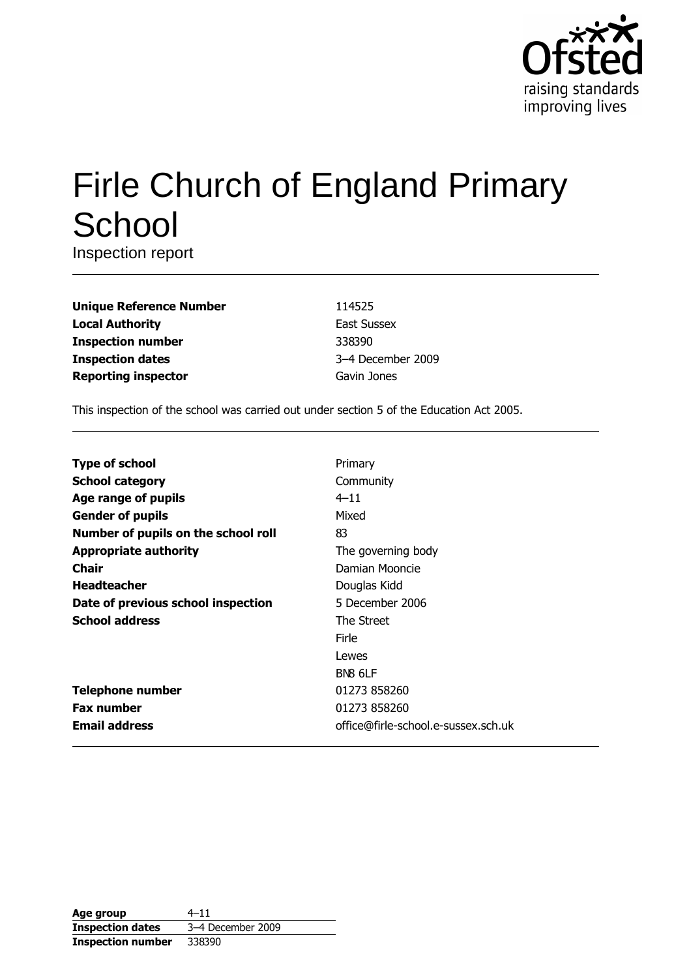

# **Firle Church of England Primary** School

Inspection report

| <b>Unique Reference Number</b> |
|--------------------------------|
| <b>Local Authority</b>         |
| <b>Inspection number</b>       |
| <b>Inspection dates</b>        |
| <b>Reporting inspector</b>     |

114525 **East Sussex** 338390 3-4 December 2009 Gavin Jones

This inspection of the school was carried out under section 5 of the Education Act 2005.

| <b>Type of school</b>               | Primary                             |
|-------------------------------------|-------------------------------------|
| <b>School category</b>              | Community                           |
| Age range of pupils                 | $4 - 11$                            |
| <b>Gender of pupils</b>             | Mixed                               |
| Number of pupils on the school roll | 83                                  |
| <b>Appropriate authority</b>        | The governing body                  |
| Chair                               | Damian Mooncie                      |
| <b>Headteacher</b>                  | Douglas Kidd                        |
| Date of previous school inspection  | 5 December 2006                     |
| <b>School address</b>               | The Street                          |
|                                     | Firle                               |
|                                     | Lewes                               |
|                                     | BN <sub>8</sub> 6LF                 |
| <b>Telephone number</b>             | 01273 858260                        |
| <b>Fax number</b>                   | 01273 858260                        |
| <b>Email address</b>                | office@firle-school.e-sussex.sch.uk |

| Age group                | $4 - 11$          |
|--------------------------|-------------------|
| <b>Inspection dates</b>  | 3-4 December 2009 |
| <b>Inspection number</b> | 338390            |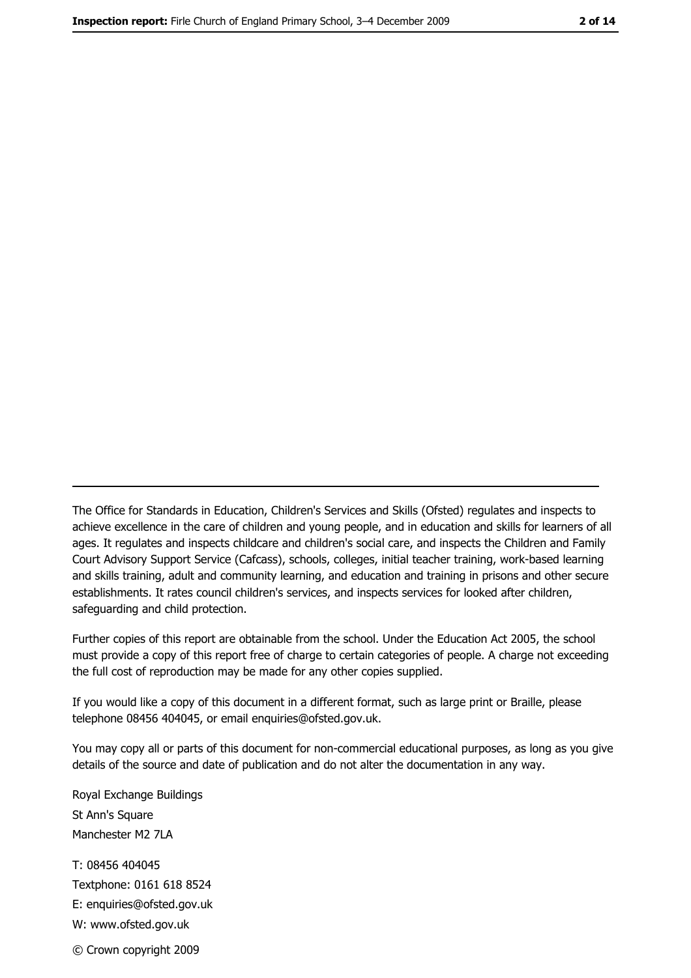The Office for Standards in Education, Children's Services and Skills (Ofsted) regulates and inspects to achieve excellence in the care of children and young people, and in education and skills for learners of all ages. It regulates and inspects childcare and children's social care, and inspects the Children and Family Court Advisory Support Service (Cafcass), schools, colleges, initial teacher training, work-based learning and skills training, adult and community learning, and education and training in prisons and other secure establishments. It rates council children's services, and inspects services for looked after children, safequarding and child protection.

Further copies of this report are obtainable from the school. Under the Education Act 2005, the school must provide a copy of this report free of charge to certain categories of people. A charge not exceeding the full cost of reproduction may be made for any other copies supplied.

If you would like a copy of this document in a different format, such as large print or Braille, please telephone 08456 404045, or email enquiries@ofsted.gov.uk.

You may copy all or parts of this document for non-commercial educational purposes, as long as you give details of the source and date of publication and do not alter the documentation in any way.

Royal Exchange Buildings St Ann's Square Manchester M2 7LA T: 08456 404045 Textphone: 0161 618 8524 E: enquiries@ofsted.gov.uk W: www.ofsted.gov.uk © Crown copyright 2009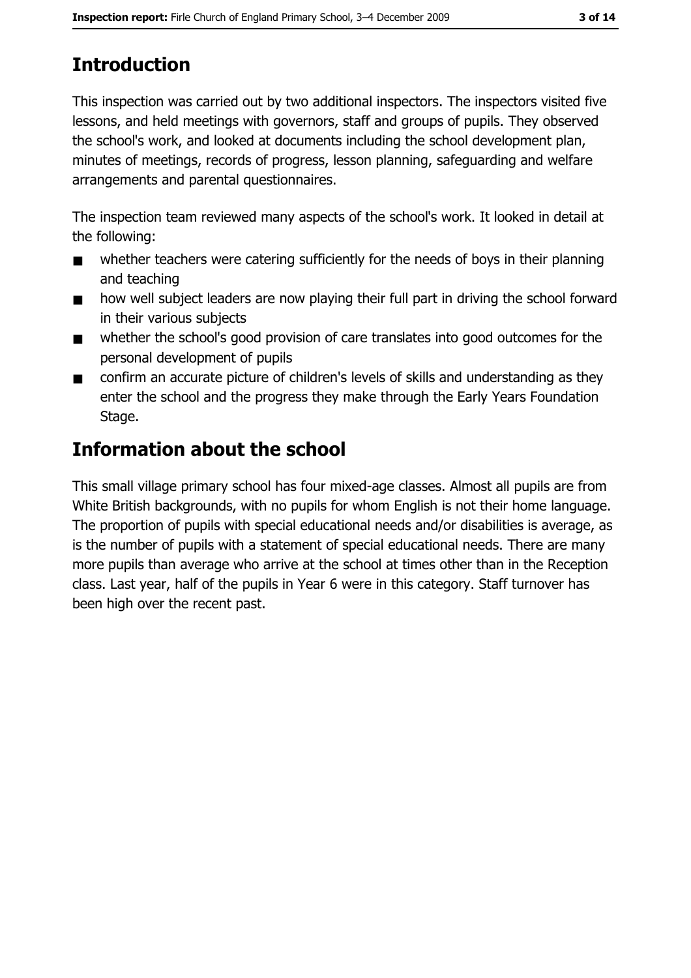# **Introduction**

This inspection was carried out by two additional inspectors. The inspectors visited five lessons, and held meetings with governors, staff and groups of pupils. They observed the school's work, and looked at documents including the school development plan, minutes of meetings, records of progress, lesson planning, safeguarding and welfare arrangements and parental questionnaires.

The inspection team reviewed many aspects of the school's work. It looked in detail at the following:

- whether teachers were catering sufficiently for the needs of boys in their planning  $\blacksquare$ and teaching
- how well subject leaders are now playing their full part in driving the school forward  $\blacksquare$ in their various subjects
- whether the school's good provision of care translates into good outcomes for the  $\blacksquare$ personal development of pupils
- confirm an accurate picture of children's levels of skills and understanding as they  $\blacksquare$ enter the school and the progress they make through the Early Years Foundation Stage.

# **Information about the school**

This small village primary school has four mixed-age classes. Almost all pupils are from White British backgrounds, with no pupils for whom English is not their home language. The proportion of pupils with special educational needs and/or disabilities is average, as is the number of pupils with a statement of special educational needs. There are many more pupils than average who arrive at the school at times other than in the Reception class. Last year, half of the pupils in Year 6 were in this category. Staff turnover has been high over the recent past.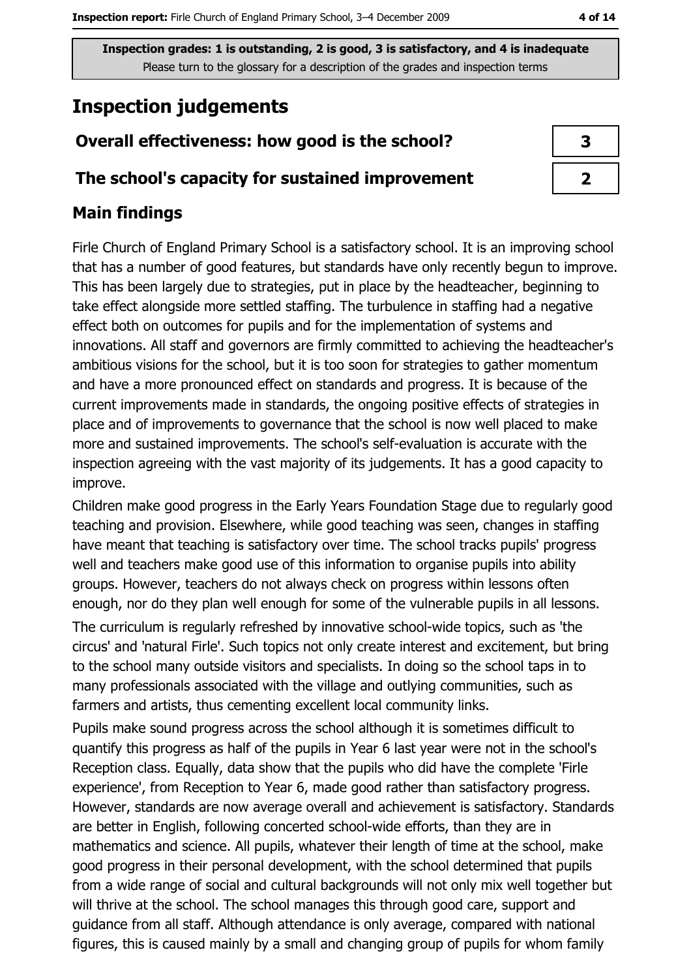## **Inspection judgements**

## Overall effectiveness: how good is the school?

#### The school's capacity for sustained improvement

## **Main findings**

Firle Church of England Primary School is a satisfactory school. It is an improving school that has a number of good features, but standards have only recently begun to improve. This has been largely due to strategies, put in place by the headteacher, beginning to take effect alongside more settled staffing. The turbulence in staffing had a negative effect both on outcomes for pupils and for the implementation of systems and innovations. All staff and governors are firmly committed to achieving the headteacher's ambitious visions for the school, but it is too soon for strategies to gather momentum and have a more pronounced effect on standards and progress. It is because of the current improvements made in standards, the ongoing positive effects of strategies in place and of improvements to governance that the school is now well placed to make more and sustained improvements. The school's self-evaluation is accurate with the inspection agreeing with the vast majority of its judgements. It has a good capacity to improve.

Children make good progress in the Early Years Foundation Stage due to regularly good teaching and provision. Elsewhere, while good teaching was seen, changes in staffing have meant that teaching is satisfactory over time. The school tracks pupils' progress well and teachers make good use of this information to organise pupils into ability groups. However, teachers do not always check on progress within lessons often enough, nor do they plan well enough for some of the vulnerable pupils in all lessons.

The curriculum is regularly refreshed by innovative school-wide topics, such as 'the circus' and 'natural Firle'. Such topics not only create interest and excitement, but bring to the school many outside visitors and specialists. In doing so the school taps in to many professionals associated with the village and outlying communities, such as farmers and artists, thus cementing excellent local community links.

Pupils make sound progress across the school although it is sometimes difficult to quantify this progress as half of the pupils in Year 6 last year were not in the school's Reception class. Equally, data show that the pupils who did have the complete 'Firle experience', from Reception to Year 6, made good rather than satisfactory progress. However, standards are now average overall and achievement is satisfactory. Standards are better in English, following concerted school-wide efforts, than they are in mathematics and science. All pupils, whatever their length of time at the school, make good progress in their personal development, with the school determined that pupils from a wide range of social and cultural backgrounds will not only mix well together but will thrive at the school. The school manages this through good care, support and quidance from all staff. Although attendance is only average, compared with national figures, this is caused mainly by a small and changing group of pupils for whom family

| 3  |  |
|----|--|
|    |  |
| ٦. |  |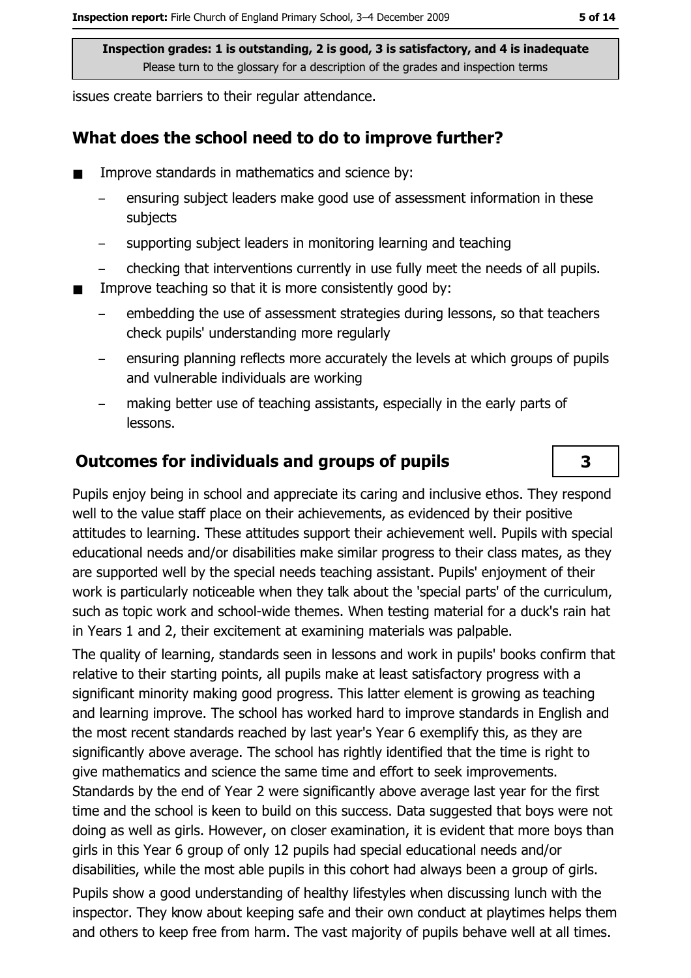issues create barriers to their regular attendance.

#### What does the school need to do to improve further?

- Improve standards in mathematics and science by:
	- ensuring subject leaders make good use of assessment information in these subjects
	- supporting subject leaders in monitoring learning and teaching
	- checking that interventions currently in use fully meet the needs of all pupils.
- Improve teaching so that it is more consistently good by:
	- embedding the use of assessment strategies during lessons, so that teachers check pupils' understanding more regularly
	- ensuring planning reflects more accurately the levels at which groups of pupils and vulnerable individuals are working
	- making better use of teaching assistants, especially in the early parts of lessons.

#### **Outcomes for individuals and groups of pupils**

Pupils enjoy being in school and appreciate its caring and inclusive ethos. They respond well to the value staff place on their achievements, as evidenced by their positive attitudes to learning. These attitudes support their achievement well. Pupils with special educational needs and/or disabilities make similar progress to their class mates, as they are supported well by the special needs teaching assistant. Pupils' enjoyment of their work is particularly noticeable when they talk about the 'special parts' of the curriculum, such as topic work and school-wide themes. When testing material for a duck's rain hat in Years 1 and 2, their excitement at examining materials was palpable.

The quality of learning, standards seen in lessons and work in pupils' books confirm that relative to their starting points, all pupils make at least satisfactory progress with a significant minority making good progress. This latter element is growing as teaching and learning improve. The school has worked hard to improve standards in English and the most recent standards reached by last year's Year 6 exemplify this, as they are significantly above average. The school has rightly identified that the time is right to give mathematics and science the same time and effort to seek improvements. Standards by the end of Year 2 were significantly above average last year for the first time and the school is keen to build on this success. Data suggested that boys were not doing as well as girls. However, on closer examination, it is evident that more boys than girls in this Year 6 group of only 12 pupils had special educational needs and/or disabilities, while the most able pupils in this cohort had always been a group of girls.

Pupils show a good understanding of healthy lifestyles when discussing lunch with the inspector. They know about keeping safe and their own conduct at playtimes helps them and others to keep free from harm. The vast majority of pupils behave well at all times.

3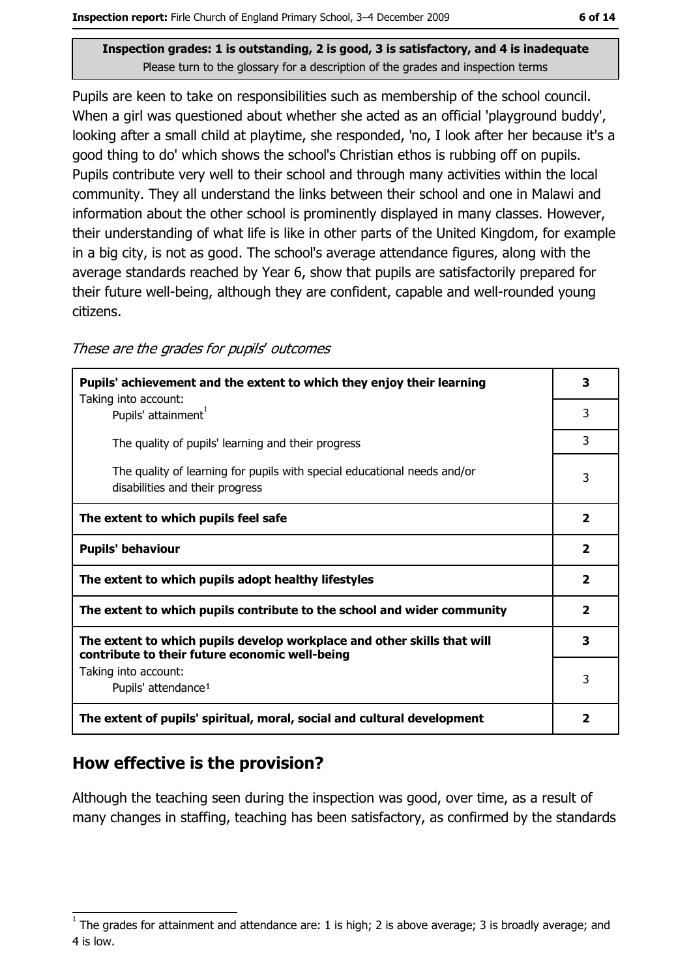Pupils are keen to take on responsibilities such as membership of the school council. When a girl was questioned about whether she acted as an official 'playground buddy', looking after a small child at playtime, she responded, 'no, I look after her because it's a good thing to do' which shows the school's Christian ethos is rubbing off on pupils. Pupils contribute very well to their school and through many activities within the local community. They all understand the links between their school and one in Malawi and information about the other school is prominently displayed in many classes. However, their understanding of what life is like in other parts of the United Kingdom, for example in a big city, is not as good. The school's average attendance figures, along with the average standards reached by Year 6, show that pupils are satisfactorily prepared for their future well-being, although they are confident, capable and well-rounded young citizens.

#### These are the grades for pupils' outcomes

| Pupils' achievement and the extent to which they enjoy their learning                                                     |                         |  |
|---------------------------------------------------------------------------------------------------------------------------|-------------------------|--|
| Taking into account:<br>Pupils' attainment <sup>1</sup>                                                                   | 3                       |  |
| The quality of pupils' learning and their progress                                                                        | 3                       |  |
| The quality of learning for pupils with special educational needs and/or<br>disabilities and their progress               | 3                       |  |
| The extent to which pupils feel safe                                                                                      | $\overline{2}$          |  |
| <b>Pupils' behaviour</b>                                                                                                  | $\overline{\mathbf{2}}$ |  |
| The extent to which pupils adopt healthy lifestyles                                                                       | $\overline{\mathbf{2}}$ |  |
| The extent to which pupils contribute to the school and wider community                                                   |                         |  |
| The extent to which pupils develop workplace and other skills that will<br>contribute to their future economic well-being |                         |  |
| Taking into account:<br>Pupils' attendance <sup>1</sup>                                                                   | 3                       |  |
| The extent of pupils' spiritual, moral, social and cultural development                                                   | $\overline{\mathbf{2}}$ |  |

#### How effective is the provision?

Although the teaching seen during the inspection was good, over time, as a result of many changes in staffing, teaching has been satisfactory, as confirmed by the standards

The grades for attainment and attendance are: 1 is high; 2 is above average; 3 is broadly average; and 4 is low.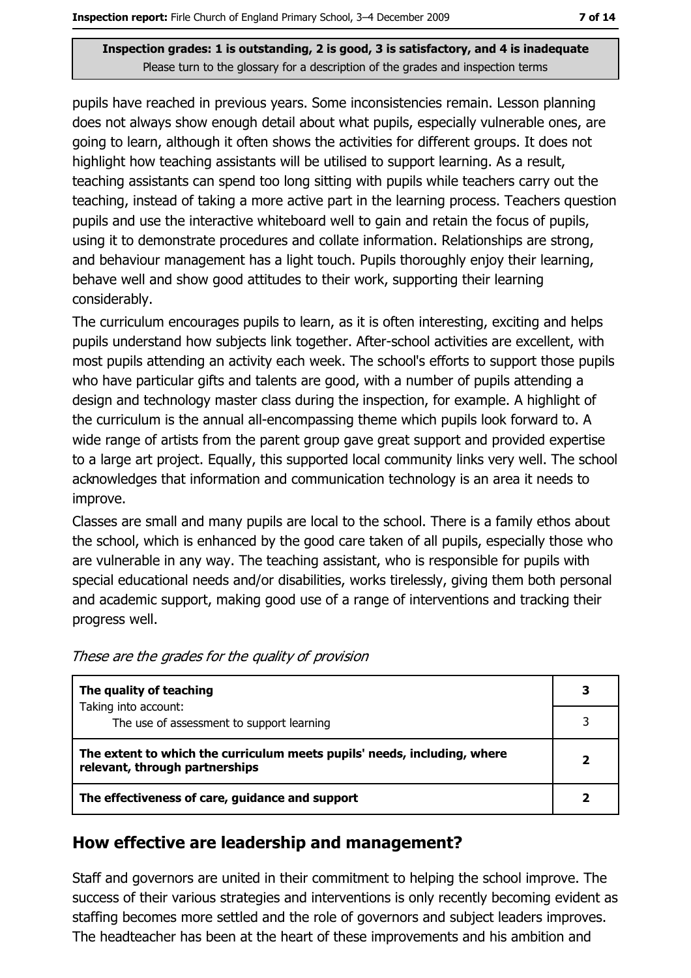pupils have reached in previous years. Some inconsistencies remain. Lesson planning does not always show enough detail about what pupils, especially vulnerable ones, are going to learn, although it often shows the activities for different groups. It does not highlight how teaching assistants will be utilised to support learning. As a result, teaching assistants can spend too long sitting with pupils while teachers carry out the teaching, instead of taking a more active part in the learning process. Teachers question pupils and use the interactive whiteboard well to gain and retain the focus of pupils, using it to demonstrate procedures and collate information. Relationships are strong, and behaviour management has a light touch. Pupils thoroughly enjoy their learning, behave well and show good attitudes to their work, supporting their learning considerablv.

The curriculum encourages pupils to learn, as it is often interesting, exciting and helps pupils understand how subjects link together. After-school activities are excellent, with most pupils attending an activity each week. The school's efforts to support those pupils who have particular gifts and talents are good, with a number of pupils attending a design and technology master class during the inspection, for example. A highlight of the curriculum is the annual all-encompassing theme which pupils look forward to. A wide range of artists from the parent group gave great support and provided expertise to a large art project. Equally, this supported local community links very well. The school acknowledges that information and communication technology is an area it needs to improve.

Classes are small and many pupils are local to the school. There is a family ethos about the school, which is enhanced by the good care taken of all pupils, especially those who are vulnerable in any way. The teaching assistant, who is responsible for pupils with special educational needs and/or disabilities, works tirelessly, giving them both personal and academic support, making good use of a range of interventions and tracking their progress well.

| These are the grades for the quality of provision |  |  |
|---------------------------------------------------|--|--|
|---------------------------------------------------|--|--|

| The quality of teaching                                                                                    |  |
|------------------------------------------------------------------------------------------------------------|--|
| Taking into account:<br>The use of assessment to support learning                                          |  |
| The extent to which the curriculum meets pupils' needs, including, where<br>relevant, through partnerships |  |
| The effectiveness of care, guidance and support                                                            |  |

#### How effective are leadership and management?

Staff and governors are united in their commitment to helping the school improve. The success of their various strategies and interventions is only recently becoming evident as staffing becomes more settled and the role of governors and subject leaders improves. The headteacher has been at the heart of these improvements and his ambition and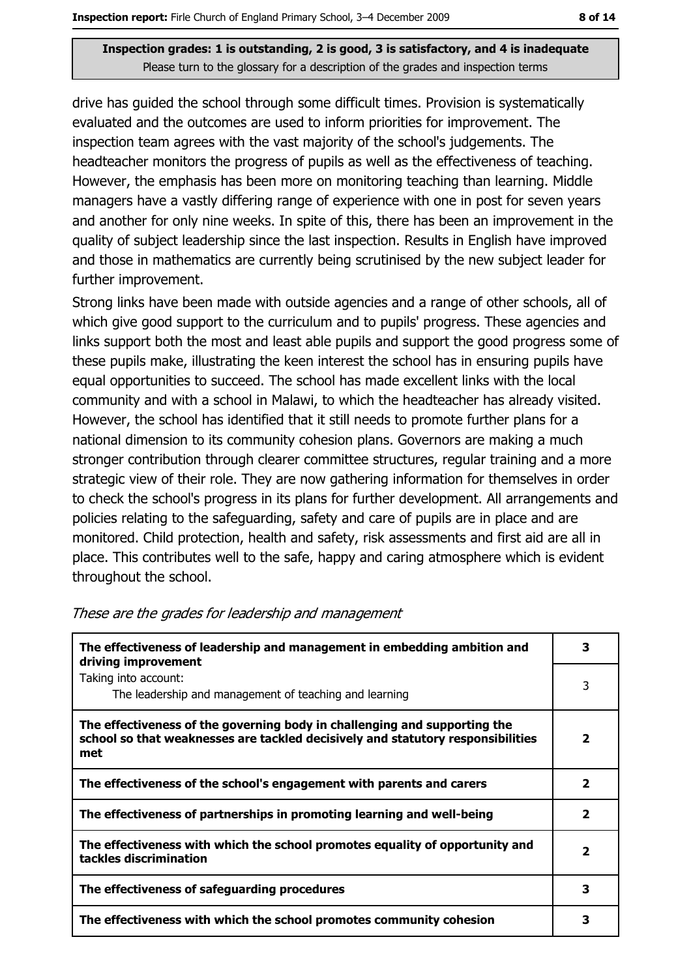drive has guided the school through some difficult times. Provision is systematically evaluated and the outcomes are used to inform priorities for improvement. The inspection team agrees with the vast majority of the school's judgements. The headteacher monitors the progress of pupils as well as the effectiveness of teaching. However, the emphasis has been more on monitoring teaching than learning. Middle managers have a vastly differing range of experience with one in post for seven years and another for only nine weeks. In spite of this, there has been an improvement in the quality of subject leadership since the last inspection. Results in English have improved and those in mathematics are currently being scrutinised by the new subject leader for further improvement.

Strong links have been made with outside agencies and a range of other schools, all of which give good support to the curriculum and to pupils' progress. These agencies and links support both the most and least able pupils and support the good progress some of these pupils make, illustrating the keen interest the school has in ensuring pupils have equal opportunities to succeed. The school has made excellent links with the local community and with a school in Malawi, to which the headteacher has already visited. However, the school has identified that it still needs to promote further plans for a national dimension to its community cohesion plans. Governors are making a much stronger contribution through clearer committee structures, regular training and a more strategic view of their role. They are now gathering information for themselves in order to check the school's progress in its plans for further development. All arrangements and policies relating to the safeguarding, safety and care of pupils are in place and are monitored. Child protection, health and safety, risk assessments and first aid are all in place. This contributes well to the safe, happy and caring atmosphere which is evident throughout the school.

| The effectiveness of leadership and management in embedding ambition and<br>driving improvement                                                                     |                         |  |  |
|---------------------------------------------------------------------------------------------------------------------------------------------------------------------|-------------------------|--|--|
| Taking into account:<br>The leadership and management of teaching and learning                                                                                      | 3                       |  |  |
| The effectiveness of the governing body in challenging and supporting the<br>school so that weaknesses are tackled decisively and statutory responsibilities<br>met | 2                       |  |  |
| The effectiveness of the school's engagement with parents and carers                                                                                                | $\overline{\mathbf{2}}$ |  |  |
| The effectiveness of partnerships in promoting learning and well-being                                                                                              | $\overline{\mathbf{2}}$ |  |  |
| The effectiveness with which the school promotes equality of opportunity and<br>tackles discrimination                                                              | 2                       |  |  |
| The effectiveness of safeguarding procedures                                                                                                                        | 3                       |  |  |
| The effectiveness with which the school promotes community cohesion                                                                                                 | 3                       |  |  |

#### These are the grades for leadership and management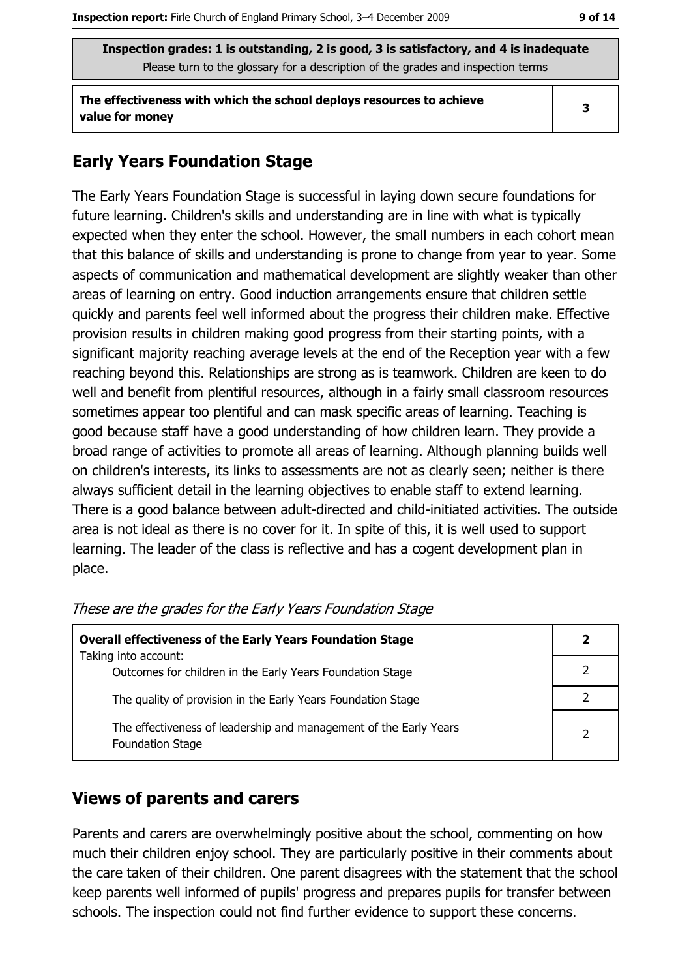The effectiveness with which the school deploys resources to achieve value for money

#### **Early Years Foundation Stage**

The Early Years Foundation Stage is successful in laying down secure foundations for future learning. Children's skills and understanding are in line with what is typically expected when they enter the school. However, the small numbers in each cohort mean that this balance of skills and understanding is prone to change from year to year. Some aspects of communication and mathematical development are slightly weaker than other areas of learning on entry. Good induction arrangements ensure that children settle quickly and parents feel well informed about the progress their children make. Effective provision results in children making good progress from their starting points, with a significant majority reaching average levels at the end of the Reception year with a few reaching beyond this. Relationships are strong as is teamwork. Children are keen to do well and benefit from plentiful resources, although in a fairly small classroom resources sometimes appear too plentiful and can mask specific areas of learning. Teaching is good because staff have a good understanding of how children learn. They provide a broad range of activities to promote all areas of learning. Although planning builds well on children's interests, its links to assessments are not as clearly seen; neither is there always sufficient detail in the learning objectives to enable staff to extend learning. There is a good balance between adult-directed and child-initiated activities. The outside area is not ideal as there is no cover for it. In spite of this, it is well used to support learning. The leader of the class is reflective and has a cogent development plan in place.

| <b>Overall effectiveness of the Early Years Foundation Stage</b><br>Taking into account:     | 2             |
|----------------------------------------------------------------------------------------------|---------------|
| Outcomes for children in the Early Years Foundation Stage                                    |               |
| The quality of provision in the Early Years Foundation Stage                                 |               |
| The effectiveness of leadership and management of the Early Years<br><b>Foundation Stage</b> | $\mathcal{P}$ |

These are the grades for the Early Years Foundation Stage

#### **Views of parents and carers**

Parents and carers are overwhelmingly positive about the school, commenting on how much their children enjoy school. They are particularly positive in their comments about the care taken of their children. One parent disagrees with the statement that the school keep parents well informed of pupils' progress and prepares pupils for transfer between schools. The inspection could not find further evidence to support these concerns.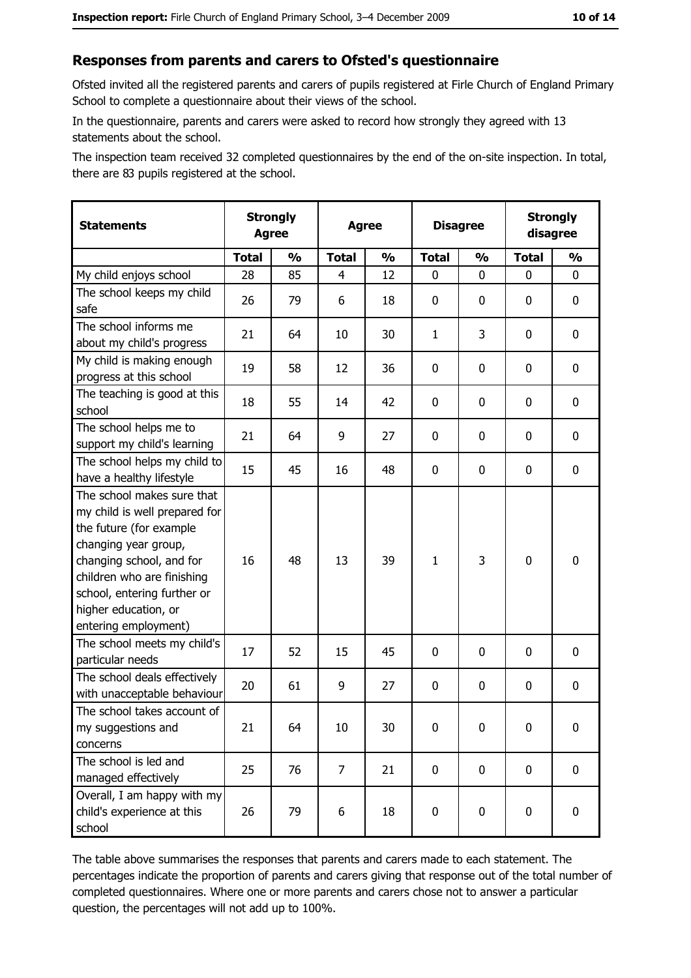## Responses from parents and carers to Ofsted's questionnaire

Ofsted invited all the registered parents and carers of pupils registered at Firle Church of England Primary School to complete a questionnaire about their views of the school.

In the questionnaire, parents and carers were asked to record how strongly they agreed with 13 statements about the school.

The inspection team received 32 completed questionnaires by the end of the on-site inspection. In total, there are 83 pupils registered at the school.

| <b>Statements</b>                                                                                                                                                                                                                                       | <b>Strongly</b><br><b>Agree</b> |               | <b>Strongly</b><br><b>Disagree</b><br><b>Agree</b><br>disagree |               |              |               |              |               |
|---------------------------------------------------------------------------------------------------------------------------------------------------------------------------------------------------------------------------------------------------------|---------------------------------|---------------|----------------------------------------------------------------|---------------|--------------|---------------|--------------|---------------|
|                                                                                                                                                                                                                                                         | <b>Total</b>                    | $\frac{1}{2}$ | <b>Total</b>                                                   | $\frac{0}{0}$ | <b>Total</b> | $\frac{0}{0}$ | <b>Total</b> | $\frac{1}{2}$ |
| My child enjoys school                                                                                                                                                                                                                                  | 28                              | 85            | 4                                                              | 12            | $\mathbf 0$  | 0             | 0            | 0             |
| The school keeps my child<br>safe                                                                                                                                                                                                                       | 26                              | 79            | 6                                                              | 18            | $\mathbf 0$  | 0             | 0            | 0             |
| The school informs me<br>about my child's progress                                                                                                                                                                                                      | 21                              | 64            | 10                                                             | 30            | $\mathbf{1}$ | 3             | 0            | 0             |
| My child is making enough<br>progress at this school                                                                                                                                                                                                    | 19                              | 58            | 12                                                             | 36            | $\mathbf 0$  | 0             | 0            | 0             |
| The teaching is good at this<br>school                                                                                                                                                                                                                  | 18                              | 55            | 14                                                             | 42            | $\mathbf 0$  | 0             | 0            | 0             |
| The school helps me to<br>support my child's learning                                                                                                                                                                                                   | 21                              | 64            | 9                                                              | 27            | $\mathbf 0$  | 0             | 0            | 0             |
| The school helps my child to<br>have a healthy lifestyle                                                                                                                                                                                                | 15                              | 45            | 16                                                             | 48            | $\mathbf 0$  | 0             | 0            | 0             |
| The school makes sure that<br>my child is well prepared for<br>the future (for example<br>changing year group,<br>changing school, and for<br>children who are finishing<br>school, entering further or<br>higher education, or<br>entering employment) | 16                              | 48            | 13                                                             | 39            | $\mathbf{1}$ | 3             | $\mathbf 0$  | 0             |
| The school meets my child's<br>particular needs                                                                                                                                                                                                         | 17                              | 52            | 15                                                             | 45            | $\mathbf 0$  | 0             | 0            | 0             |
| The school deals effectively<br>with unacceptable behaviour                                                                                                                                                                                             | 20                              | 61            | 9                                                              | 27            | $\mathbf 0$  | 0             | 0            | 0             |
| The school takes account of<br>my suggestions and<br>concerns                                                                                                                                                                                           | 21                              | 64            | 10                                                             | 30            | $\mathbf 0$  | 0             | 0            | 0             |
| The school is led and<br>managed effectively                                                                                                                                                                                                            | 25                              | 76            | 7                                                              | 21            | $\mathbf 0$  | 0             | 0            | 0             |
| Overall, I am happy with my<br>child's experience at this<br>school                                                                                                                                                                                     | 26                              | 79            | 6                                                              | 18            | $\pmb{0}$    | 0             | 0            | 0             |

The table above summarises the responses that parents and carers made to each statement. The percentages indicate the proportion of parents and carers giving that response out of the total number of completed questionnaires. Where one or more parents and carers chose not to answer a particular question, the percentages will not add up to 100%.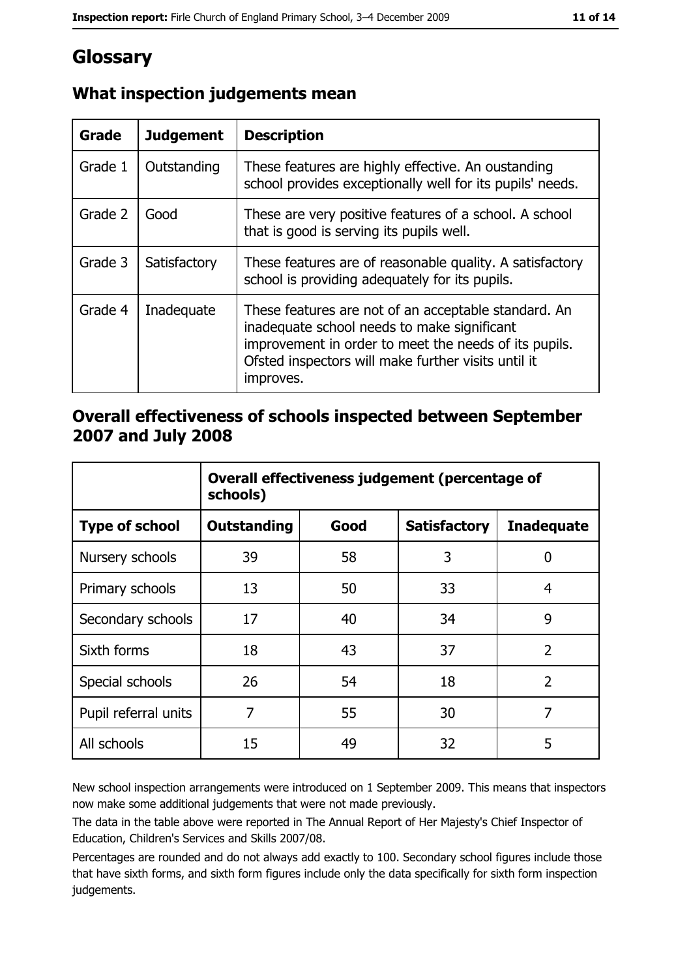# Glossary

| Grade   | <b>Judgement</b> | <b>Description</b>                                                                                                                                                                                                               |
|---------|------------------|----------------------------------------------------------------------------------------------------------------------------------------------------------------------------------------------------------------------------------|
| Grade 1 | Outstanding      | These features are highly effective. An oustanding<br>school provides exceptionally well for its pupils' needs.                                                                                                                  |
| Grade 2 | Good             | These are very positive features of a school. A school<br>that is good is serving its pupils well.                                                                                                                               |
| Grade 3 | Satisfactory     | These features are of reasonable quality. A satisfactory<br>school is providing adequately for its pupils.                                                                                                                       |
| Grade 4 | Inadequate       | These features are not of an acceptable standard. An<br>inadequate school needs to make significant<br>improvement in order to meet the needs of its pupils.<br>Ofsted inspectors will make further visits until it<br>improves. |

## What inspection judgements mean

## Overall effectiveness of schools inspected between September 2007 and July 2008

|                       | Overall effectiveness judgement (percentage of<br>schools) |      |                     |                   |  |
|-----------------------|------------------------------------------------------------|------|---------------------|-------------------|--|
| <b>Type of school</b> | <b>Outstanding</b>                                         | Good | <b>Satisfactory</b> | <b>Inadequate</b> |  |
| Nursery schools       | 39                                                         | 58   | 3                   | 0                 |  |
| Primary schools       | 13                                                         | 50   | 33                  | 4                 |  |
| Secondary schools     | 17                                                         | 40   | 34                  | 9                 |  |
| Sixth forms           | 18                                                         | 43   | 37                  | $\overline{2}$    |  |
| Special schools       | 26                                                         | 54   | 18                  | $\overline{2}$    |  |
| Pupil referral units  | 7                                                          | 55   | 30                  | 7                 |  |
| All schools           | 15                                                         | 49   | 32                  | 5                 |  |

New school inspection arrangements were introduced on 1 September 2009. This means that inspectors now make some additional judgements that were not made previously.

The data in the table above were reported in The Annual Report of Her Majesty's Chief Inspector of Education, Children's Services and Skills 2007/08.

Percentages are rounded and do not always add exactly to 100. Secondary school figures include those that have sixth forms, and sixth form figures include only the data specifically for sixth form inspection judgements.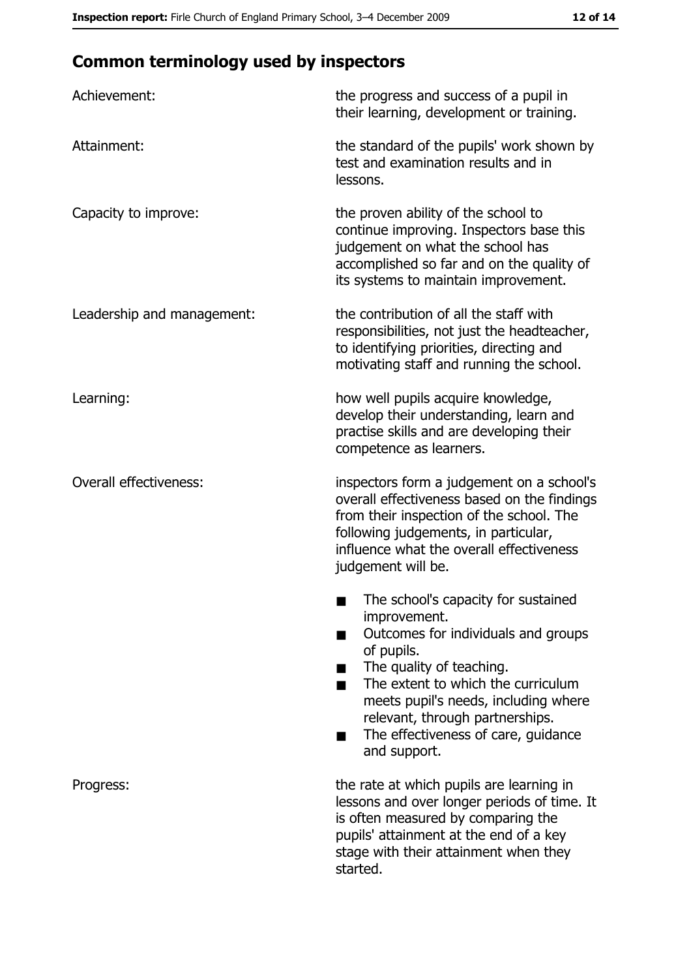# **Common terminology used by inspectors**

| Achievement:                  | the progress and success of a pupil in<br>their learning, development or training.                                                                                                                                                                                                                                |
|-------------------------------|-------------------------------------------------------------------------------------------------------------------------------------------------------------------------------------------------------------------------------------------------------------------------------------------------------------------|
| Attainment:                   | the standard of the pupils' work shown by<br>test and examination results and in<br>lessons.                                                                                                                                                                                                                      |
| Capacity to improve:          | the proven ability of the school to<br>continue improving. Inspectors base this<br>judgement on what the school has<br>accomplished so far and on the quality of<br>its systems to maintain improvement.                                                                                                          |
| Leadership and management:    | the contribution of all the staff with<br>responsibilities, not just the headteacher,<br>to identifying priorities, directing and<br>motivating staff and running the school.                                                                                                                                     |
| Learning:                     | how well pupils acquire knowledge,<br>develop their understanding, learn and<br>practise skills and are developing their<br>competence as learners.                                                                                                                                                               |
| <b>Overall effectiveness:</b> | inspectors form a judgement on a school's<br>overall effectiveness based on the findings<br>from their inspection of the school. The<br>following judgements, in particular,<br>influence what the overall effectiveness<br>judgement will be.                                                                    |
|                               | The school's capacity for sustained<br>improvement.<br>Outcomes for individuals and groups<br>of pupils.<br>The quality of teaching.<br>The extent to which the curriculum<br>meets pupil's needs, including where<br>relevant, through partnerships.<br>The effectiveness of care, guidance<br>■<br>and support. |
| Progress:                     | the rate at which pupils are learning in<br>lessons and over longer periods of time. It<br>is often measured by comparing the<br>pupils' attainment at the end of a key<br>stage with their attainment when they<br>started.                                                                                      |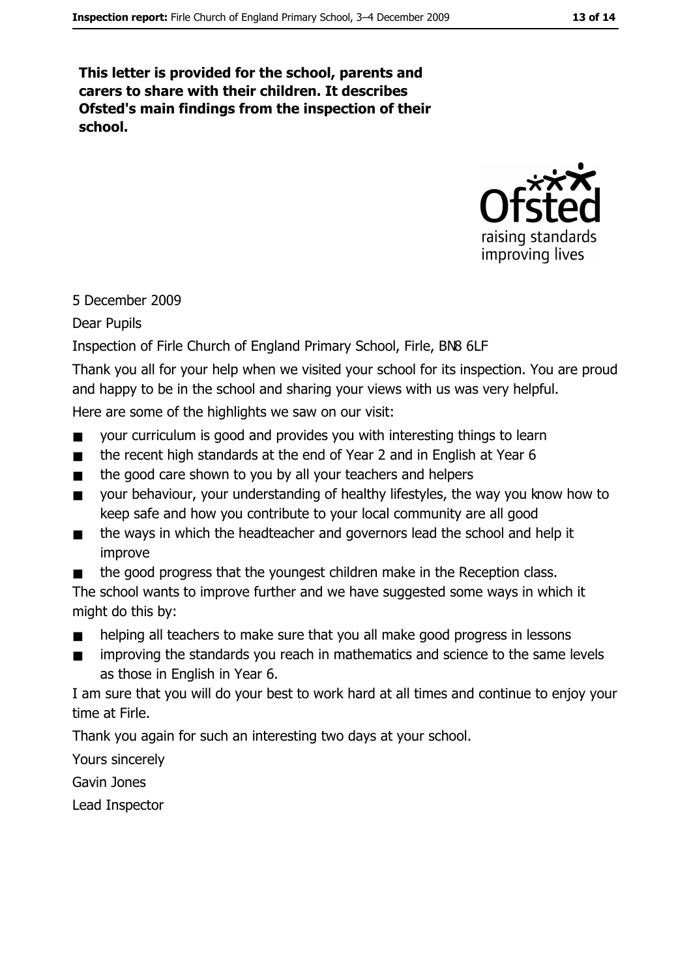This letter is provided for the school, parents and carers to share with their children. It describes Ofsted's main findings from the inspection of their school.



## 5 December 2009

## **Dear Pupils**

Inspection of Firle Church of England Primary School, Firle, BN8 6LF

Thank you all for your help when we visited your school for its inspection. You are proud and happy to be in the school and sharing your views with us was very helpful.

Here are some of the highlights we saw on our visit:

- your curriculum is good and provides you with interesting things to learn  $\blacksquare$
- the recent high standards at the end of Year 2 and in English at Year 6  $\blacksquare$
- $\blacksquare$ the good care shown to you by all your teachers and helpers
- your behaviour, your understanding of healthy lifestyles, the way you know how to  $\blacksquare$ keep safe and how you contribute to your local community are all good
- the ways in which the headteacher and governors lead the school and help it  $\blacksquare$ improve
- the good progress that the youngest children make in the Reception class.

The school wants to improve further and we have suggested some ways in which it might do this by:

- helping all teachers to make sure that you all make good progress in lessons  $\blacksquare$
- improving the standards you reach in mathematics and science to the same levels as those in English in Year 6.

I am sure that you will do your best to work hard at all times and continue to enjoy your time at Firle.

Thank you again for such an interesting two days at your school.

Yours sincerely

Gavin Jones

Lead Inspector